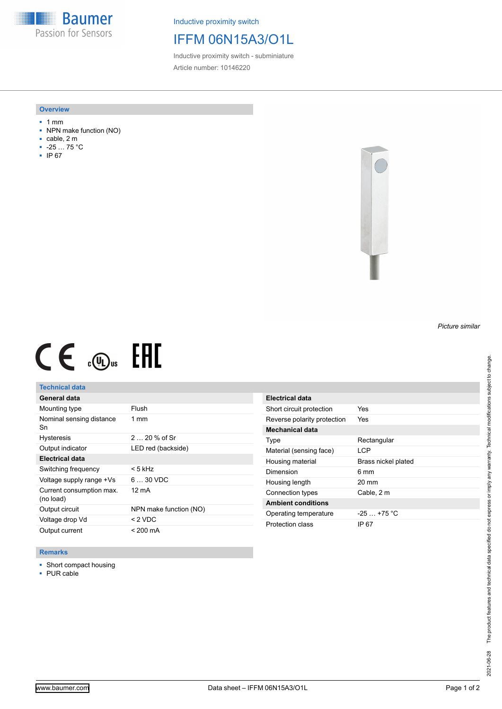**Baumer** Passion for Sensors

Inductive proximity switch

# IFFM 06N15A3/O1L

Inductive proximity switch - subminiature Article number: 10146220

#### **Overview**

- 1 mm
- NPN make function (NO)
- cable, 2 m
- -25 … 75 °C
- IP 67



# $CE \mathcal{L}$  (Dus FRE

## **Technical data**

| General data                          |                        |
|---------------------------------------|------------------------|
| Mounting type                         | Flush                  |
| Nominal sensing distance<br>Sn        | $1 \text{ mm}$         |
| <b>Hysteresis</b>                     | $220%$ of Sr           |
| Output indicator                      | LED red (backside)     |
| <b>Electrical data</b>                |                        |
| Switching frequency                   | < 5 kHz                |
| Voltage supply range +Vs              | $630$ VDC              |
| Current consumption max.<br>(no load) | 12 mA                  |
| Output circuit                        | NPN make function (NO) |
| Voltage drop Vd                       | < 2 VDC                |
| Output current                        | < 200 mA               |

| Electrical data             |                     |
|-----------------------------|---------------------|
| Short circuit protection    | Yes                 |
| Reverse polarity protection | Yes                 |
| Mechanical data             |                     |
| Type                        | Rectangular         |
| Material (sensing face)     | I CP                |
| Housing material            | Brass nickel plated |
| Dimension                   | 6 mm                |
| Housing length              | $20 \text{ mm}$     |
| Connection types            | Cable, 2 m          |
| <b>Ambient conditions</b>   |                     |
| Operating temperature       | $-25$ $+75$ °C      |
| Protection class            | IP 67               |

### **Remarks**

■ Short compact housing

■ PUR cable

*Picture similar*